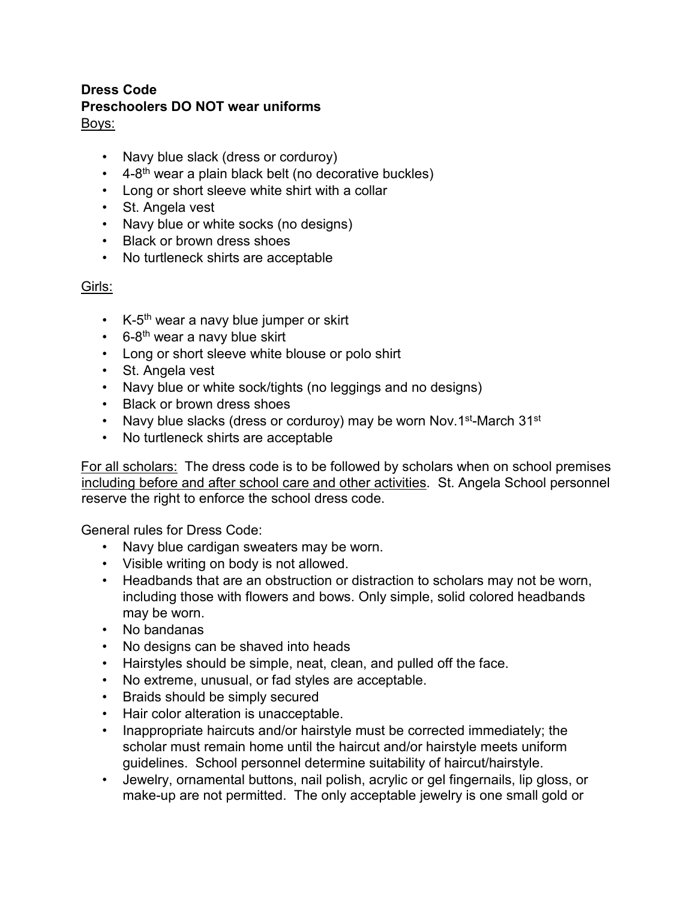#### **Dress Code Preschoolers DO NOT wear uniforms** Boys:

- Navy blue slack (dress or corduroy)
- $\cdot$  4-8<sup>th</sup> wear a plain black belt (no decorative buckles)
- Long or short sleeve white shirt with a collar
- St. Angela vest
- Navy blue or white socks (no designs)
- Black or brown dress shoes
- No turtleneck shirts are acceptable

### Girls:

- $\cdot$  K-5<sup>th</sup> wear a navy blue jumper or skirt
- $\cdot$  6-8<sup>th</sup> wear a navy blue skirt
- Long or short sleeve white blouse or polo shirt
- St. Angela vest
- Navy blue or white sock/tights (no leggings and no designs)
- Black or brown dress shoes
- Navy blue slacks (dress or corduroy) may be worn Nov.1st-March  $31^{st}$
- No turtleneck shirts are acceptable

For all scholars: The dress code is to be followed by scholars when on school premises including before and after school care and other activities. St. Angela School personnel reserve the right to enforce the school dress code.

General rules for Dress Code:

- Navy blue cardigan sweaters may be worn.
- Visible writing on body is not allowed.
- Headbands that are an obstruction or distraction to scholars may not be worn, including those with flowers and bows. Only simple, solid colored headbands may be worn.
- No bandanas
- No designs can be shaved into heads
- Hairstyles should be simple, neat, clean, and pulled off the face.
- No extreme, unusual, or fad styles are acceptable.
- Braids should be simply secured
- Hair color alteration is unacceptable.
- Inappropriate haircuts and/or hairstyle must be corrected immediately; the scholar must remain home until the haircut and/or hairstyle meets uniform guidelines. School personnel determine suitability of haircut/hairstyle.
- Jewelry, ornamental buttons, nail polish, acrylic or gel fingernails, lip gloss, or make-up are not permitted. The only acceptable jewelry is one small gold or